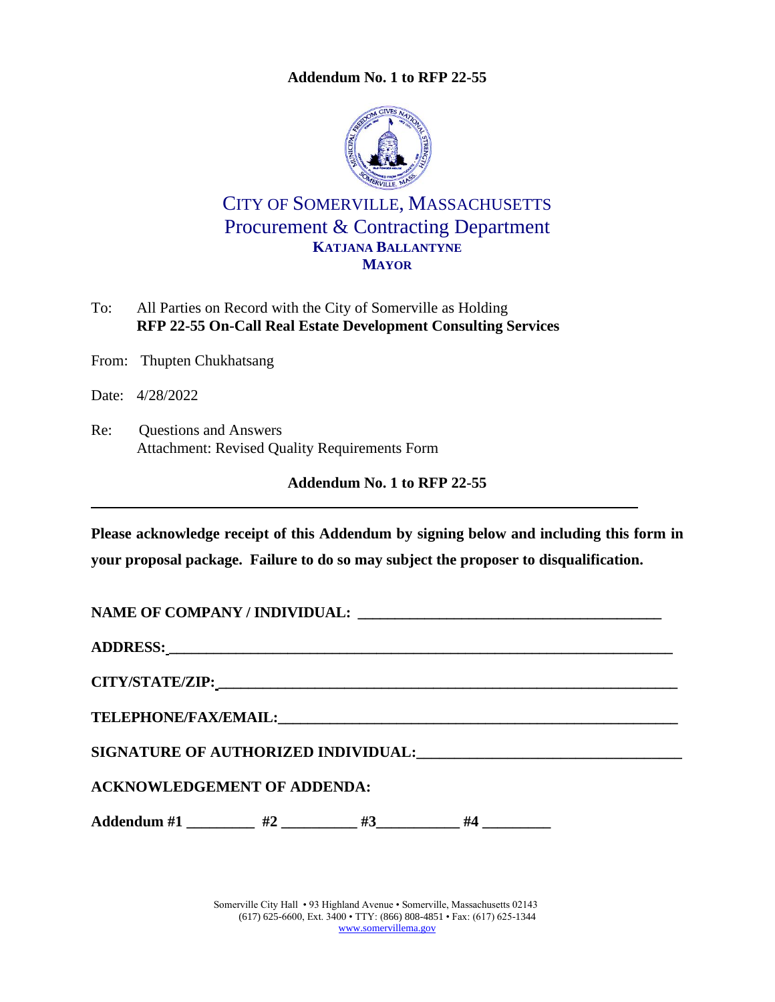

CITY OF SOMERVILLE, MASSACHUSETTS Procurement & Contracting Department **KATJANA BALLANTYNE MAYOR**

To: All Parties on Record with the City of Somerville as Holding **RFP 22-55 On-Call Real Estate Development Consulting Services**

From: Thupten Chukhatsang

Date: 4/28/2022

Re: Questions and Answers Attachment: Revised Quality Requirements Form

**Addendum No. 1 to RFP 22-55**

**Please acknowledge receipt of this Addendum by signing below and including this form in your proposal package. Failure to do so may subject the proposer to disqualification.**

| NAME OF COMPANY / INDIVIDUAL: University of the company of the company of the company of the company of the company of the company of the company of the company of the company of the company of the company of the company o |  |  |  |
|--------------------------------------------------------------------------------------------------------------------------------------------------------------------------------------------------------------------------------|--|--|--|
|                                                                                                                                                                                                                                |  |  |  |
|                                                                                                                                                                                                                                |  |  |  |
|                                                                                                                                                                                                                                |  |  |  |
|                                                                                                                                                                                                                                |  |  |  |
| <b>ACKNOWLEDGEMENT OF ADDENDA:</b>                                                                                                                                                                                             |  |  |  |
| Addendum #1 __________ #2 __________ #3 _________ #4 _________                                                                                                                                                                 |  |  |  |

Somerville City Hall • 93 Highland Avenue • Somerville, Massachusetts 02143 (617) 625-6600, Ext. 3400 • TTY: (866) 808-4851 • Fax: (617) 625-1344 [www.somervillema.gov](http://www.somervillema.gov/)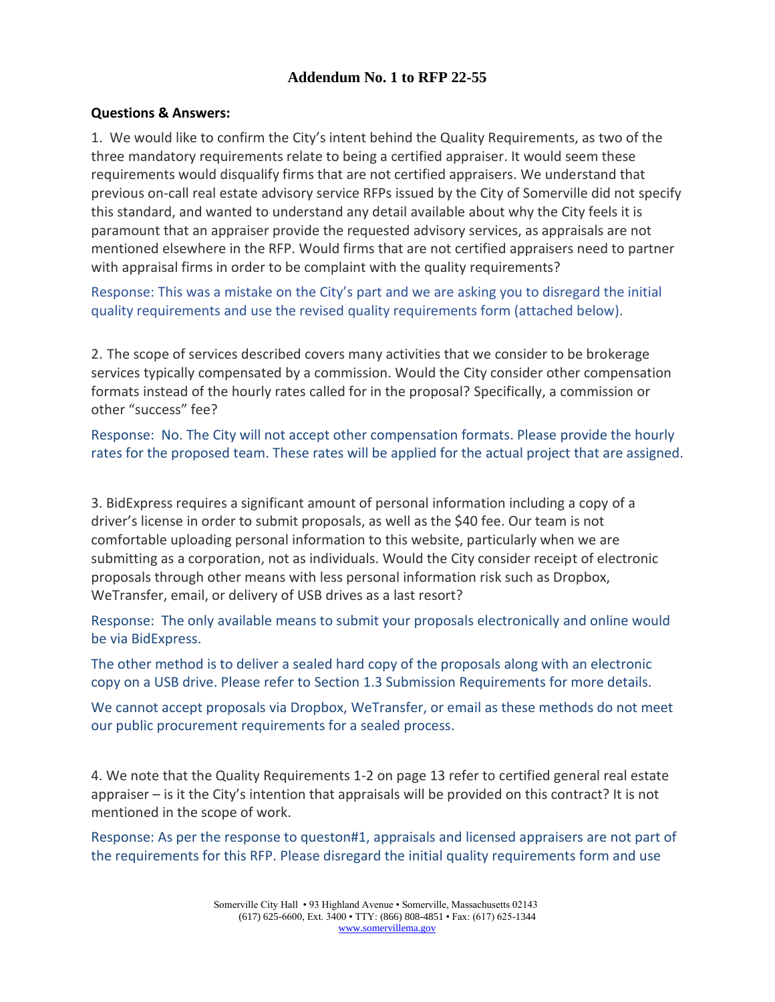#### **Questions & Answers:**

1. We would like to confirm the City's intent behind the Quality Requirements, as two of the three mandatory requirements relate to being a certified appraiser. It would seem these requirements would disqualify firms that are not certified appraisers. We understand that previous on-call real estate advisory service RFPs issued by the City of Somerville did not specify this standard, and wanted to understand any detail available about why the City feels it is paramount that an appraiser provide the requested advisory services, as appraisals are not mentioned elsewhere in the RFP. Would firms that are not certified appraisers need to partner with appraisal firms in order to be complaint with the quality requirements?

Response: This was a mistake on the City's part and we are asking you to disregard the initial quality requirements and use the revised quality requirements form (attached below).

2. The scope of services described covers many activities that we consider to be brokerage services typically compensated by a commission. Would the City consider other compensation formats instead of the hourly rates called for in the proposal? Specifically, a commission or other "success" fee?

Response: No. The City will not accept other compensation formats. Please provide the hourly rates for the proposed team. These rates will be applied for the actual project that are assigned.

3. BidExpress requires a significant amount of personal information including a copy of a driver's license in order to submit proposals, as well as the \$40 fee. Our team is not comfortable uploading personal information to this website, particularly when we are submitting as a corporation, not as individuals. Would the City consider receipt of electronic proposals through other means with less personal information risk such as Dropbox, WeTransfer, email, or delivery of USB drives as a last resort?

Response: The only available means to submit your proposals electronically and online would be via BidExpress.

The other method is to deliver a sealed hard copy of the proposals along with an electronic copy on a USB drive. Please refer to Section 1.3 Submission Requirements for more details.

We cannot accept proposals via Dropbox, WeTransfer, or email as these methods do not meet our public procurement requirements for a sealed process.

4. We note that the Quality Requirements 1-2 on page 13 refer to certified general real estate appraiser – is it the City's intention that appraisals will be provided on this contract? It is not mentioned in the scope of work.

Response: As per the response to queston#1, appraisals and licensed appraisers are not part of the requirements for this RFP. Please disregard the initial quality requirements form and use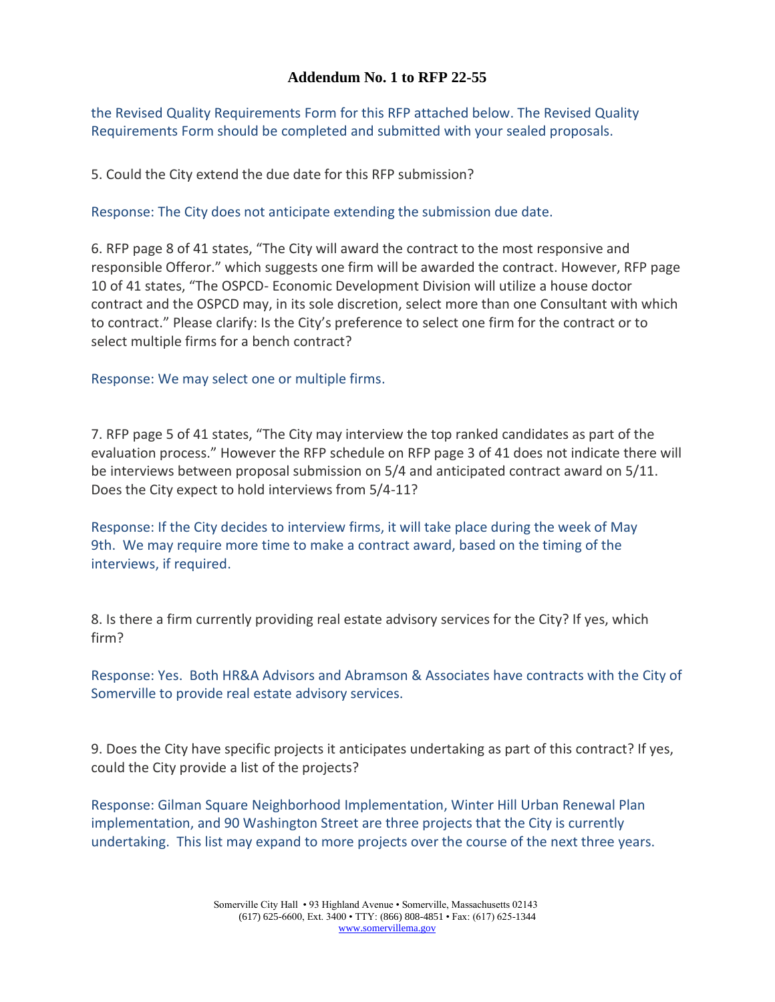the Revised Quality Requirements Form for this RFP attached below. The Revised Quality Requirements Form should be completed and submitted with your sealed proposals.

5. Could the City extend the due date for this RFP submission?

Response: The City does not anticipate extending the submission due date.

6. RFP page 8 of 41 states, "The City will award the contract to the most responsive and responsible Offeror." which suggests one firm will be awarded the contract. However, RFP page 10 of 41 states, "The OSPCD- Economic Development Division will utilize a house doctor contract and the OSPCD may, in its sole discretion, select more than one Consultant with which to contract." Please clarify: Is the City's preference to select one firm for the contract or to select multiple firms for a bench contract?

Response: We may select one or multiple firms.

7. RFP page 5 of 41 states, "The City may interview the top ranked candidates as part of the evaluation process." However the RFP schedule on RFP page 3 of 41 does not indicate there will be interviews between proposal submission on 5/4 and anticipated contract award on 5/11. Does the City expect to hold interviews from 5/4-11?

Response: If the City decides to interview firms, it will take place during the week of May 9th. We may require more time to make a contract award, based on the timing of the interviews, if required.

8. Is there a firm currently providing real estate advisory services for the City? If yes, which firm?

Response: Yes. Both HR&A Advisors and Abramson & Associates have contracts with the City of Somerville to provide real estate advisory services.

9. Does the City have specific projects it anticipates undertaking as part of this contract? If yes, could the City provide a list of the projects?

Response: Gilman Square Neighborhood Implementation, Winter Hill Urban Renewal Plan implementation, and 90 Washington Street are three projects that the City is currently undertaking. This list may expand to more projects over the course of the next three years.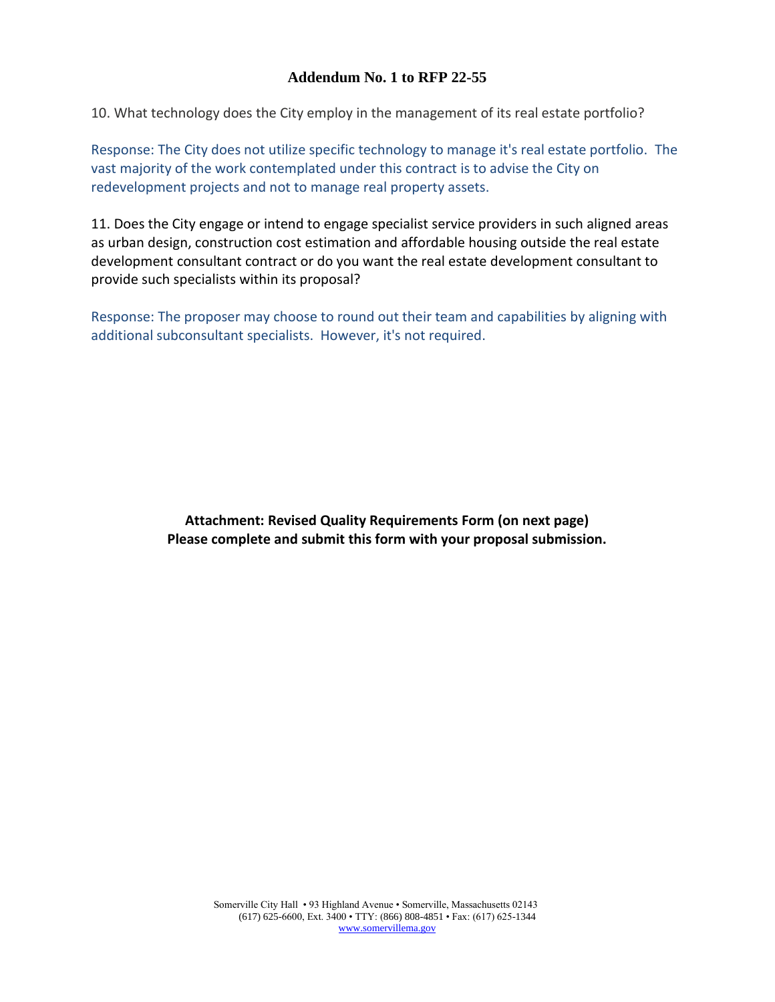10. What technology does the City employ in the management of its real estate portfolio?

Response: The City does not utilize specific technology to manage it's real estate portfolio. The vast majority of the work contemplated under this contract is to advise the City on redevelopment projects and not to manage real property assets.

11. Does the City engage or intend to engage specialist service providers in such aligned areas as urban design, construction cost estimation and affordable housing outside the real estate development consultant contract or do you want the real estate development consultant to provide such specialists within its proposal?

Response: The proposer may choose to round out their team and capabilities by aligning with additional subconsultant specialists. However, it's not required.

> **Attachment: Revised Quality Requirements Form (on next page) Please complete and submit this form with your proposal submission.**